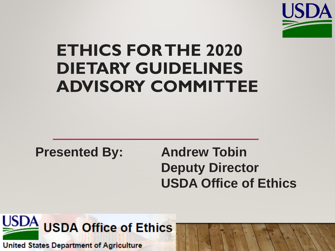

## **ETHICS FOR THE 2020 DIETARY GUIDELINES ADVISORY COMMITTEE**

**Presented By: Andrew Tobin**

**Deputy Director USDA Office of Ethics**



**United States Department of Agriculture**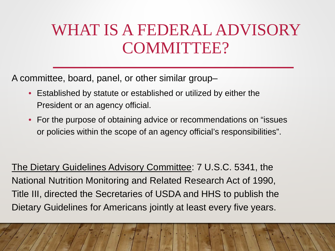## WHAT IS A FEDERAL ADVISORY COMMITTEE?

A committee, board, panel, or other similar group–

- Established by statute or established or utilized by either the President or an agency official.
- For the purpose of obtaining advice or recommendations on "issues or policies within the scope of an agency official's responsibilities".

The Dietary Guidelines Advisory Committee: 7 U.S.C. 5341, the National Nutrition Monitoring and Related Research Act of 1990, Title III, directed the Secretaries of USDA and HHS to publish the Dietary Guidelines for Americans jointly at least every five years.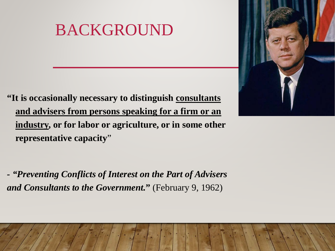## BACKGROUND

**"It is occasionally necessary to distinguish consultants and advisers from persons speaking for a firm or an industry, or for labor or agriculture, or in some other representative capacity**"

*- "Preventing Conflicts of Interest on the Part of Advisers and Consultants to the Government.***"** (February 9, 1962)

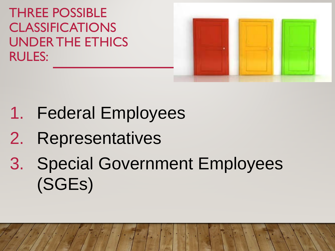THREE POSSIBLE CLASSIFICATIONS UNDER THE ETHICS RULES:



- 1. Federal Employees
- 2. Representatives
- 3. Special Government Employees (SGEs)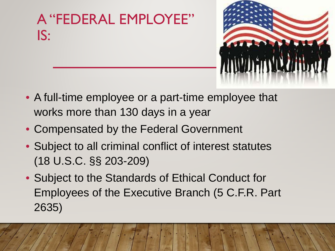



- A full-time employee or a part-time employee that works more than 130 days in a year
- Compensated by the Federal Government
- Subject to all criminal conflict of interest statutes (18 U.S.C. §§ 203-209)
- Subject to the Standards of Ethical Conduct for Employees of the Executive Branch (5 C.F.R. Part 2635)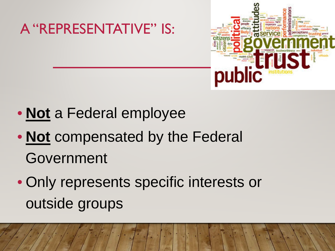

- **Not** a Federal employee
- **Not** compensated by the Federal Government
- Only represents specific interests or outside groups

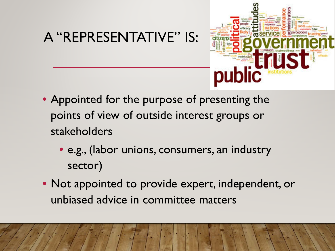### A "REPRESENTATIVE" IS:



- Appointed for the purpose of presenting the points of view of outside interest groups or stakeholders
	- e.g., (labor unions, consumers, an industry sector)
- Not appointed to provide expert, independent, or unbiased advice in committee matters

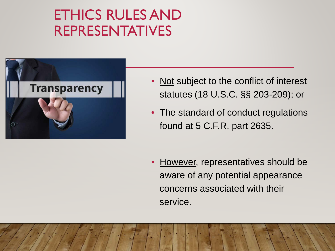### ETHICS RULES AND REPRESENTATIVES



- Not subject to the conflict of interest statutes (18 U.S.C. §§ 203-209); or
- The standard of conduct regulations found at 5 C.F.R. part 2635.

**However, representatives should be** aware of any potential appearance concerns associated with their service.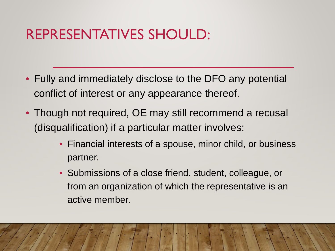### REPRESENTATIVES SHOULD:

- Fully and immediately disclose to the DFO any potential conflict of interest or any appearance thereof.
- Though not required, OE may still recommend a recusal (disqualification) if a particular matter involves:
	- Financial interests of a spouse, minor child, or business partner.
	- Submissions of a close friend, student, colleague, or from an organization of which the representative is an active member.

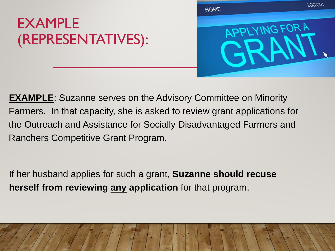### EXAMPLE (REPRESENTATIVES):



**EXAMPLE:** Suzanne serves on the Advisory Committee on Minority Farmers. In that capacity, she is asked to review grant applications for the Outreach and Assistance for Socially Disadvantaged Farmers and Ranchers Competitive Grant Program.

If her husband applies for such a grant, **Suzanne should recuse herself from reviewing any application** for that program.

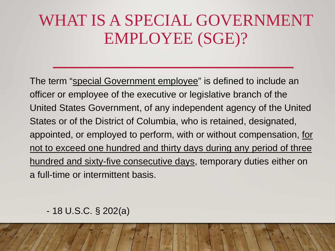## WHAT IS A SPECIAL GOVERNMENT EMPLOYEE (SGE)?

The term "special Government employee" is defined to include an officer or employee of the executive or legislative branch of the United States Government, of any independent agency of the United States or of the District of Columbia, who is retained, designated, appointed, or employed to perform, with or without compensation, for not to exceed one hundred and thirty days during any period of three hundred and sixty-five consecutive days, temporary duties either on a full-time or intermittent basis.

#### - 18 U.S.C. § 202(a)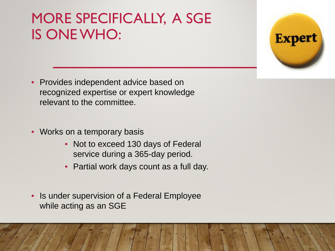### MORE SPECIFICALLY, A SGE IS ONE WHO:



- Provides independent advice based on recognized expertise or expert knowledge relevant to the committee.
- Works on a temporary basis
	- Not to exceed 130 days of Federal service during a 365-day period.
	- Partial work days count as a full day.
- Is under supervision of a Federal Employee while acting as an SGE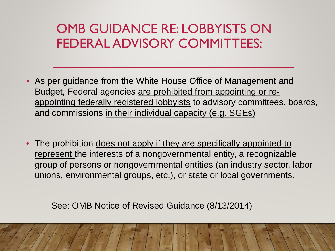### OMB GUIDANCE RE: LOBBYISTS ON FEDERAL ADVISORY COMMITTEES:

- As per guidance from the White House Office of Management and Budget, Federal agencies are prohibited from appointing or reappointing federally registered lobbyists to advisory committees, boards, and commissions in their individual capacity (e.g. SGEs)
- The prohibition does not apply if they are specifically appointed to represent the interests of a nongovernmental entity, a recognizable group of persons or nongovernmental entities (an industry sector, labor unions, environmental groups, etc.), or state or local governments.

See: OMB Notice of Revised Guidance (8/13/2014)

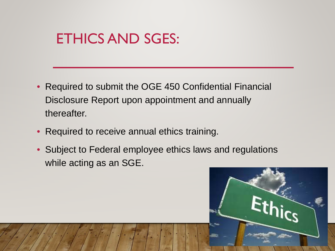### ETHICS AND SGES:

- Required to submit the OGE 450 Confidential Financial Disclosure Report upon appointment and annually thereafter.
- Required to receive annual ethics training.
- Subject to Federal employee ethics laws and regulations while acting as an SGE.

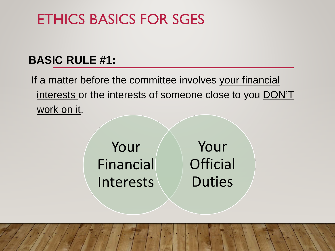#### **BASIC RULE #1:**

If a matter before the committee involves your financial interests or the interests of someone close to you DON'T work on it.

> Your Financial Interests

Your **Official Duties**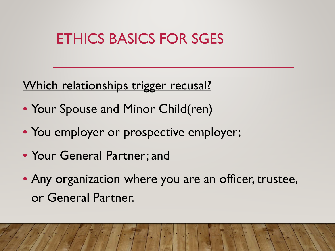#### Which relationships trigger recusal?

- Your Spouse and Minor Child(ren)
- You employer or prospective employer;
- Your General Partner; and
- Any organization where you are an officer, trustee, or General Partner.

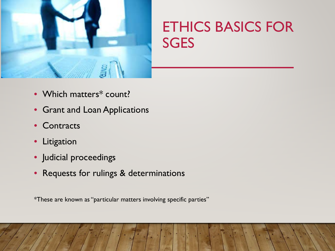

- Which matters\* count?
- Grant and Loan Applications
- Contracts
- Litigation
- Judicial proceedings
- Requests for rulings & determinations

\*These are known as "particular matters involving specific parties"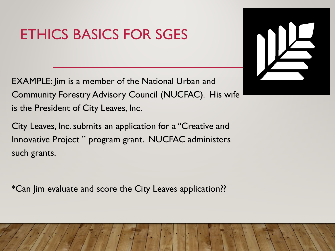EXAMPLE: Jim is a member of the National Urban and Community Forestry Advisory Council (NUCFAC). His wife is the President of City Leaves, Inc.

City Leaves, Inc. submits an application for a "Creative and Innovative Project " program grant. NUCFAC administers such grants.

\*Can Jim evaluate and score the City Leaves application??

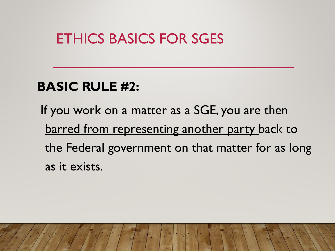### **BASIC RULE #2:**

If you work on a matter as a SGE, you are then barred from representing another party back to the Federal government on that matter for as long as it exists.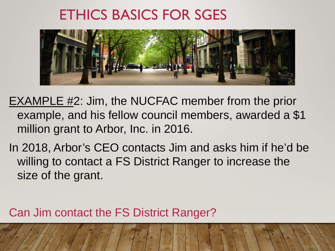

- EXAMPLE #2: Jim, the NUCFAC member from the prior example, and his fellow council members, awarded a \$1 million grant to Arbor, Inc. in 2016.
- In 2018, Arbor's CEO contacts Jim and asks him if he'd be willing to contact a FS District Ranger to increase the size of the grant.

Can Jim contact the FS District Ranger?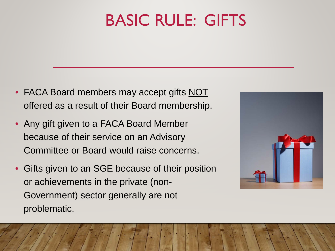## BASIC RULE: GIFTS

- FACA Board members may accept gifts NOT offered as a result of their Board membership.
- Any gift given to a FACA Board Member because of their service on an Advisory Committee or Board would raise concerns.
- Gifts given to an SGE because of their position or achievements in the private (non-Government) sector generally are not problematic.

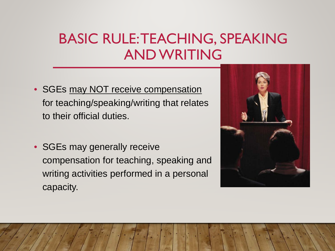### BASIC RULE: TEACHING, SPEAKING AND WRITING

- SGEs may NOT receive compensation for teaching/speaking/writing that relates to their official duties.
- SGEs may generally receive compensation for teaching, speaking and writing activities performed in a personal capacity.

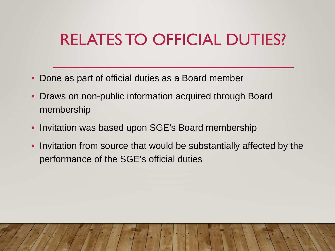## RELATES TO OFFICIAL DUTIES?

- Done as part of official duties as a Board member
- Draws on non-public information acquired through Board membership
- Invitation was based upon SGE's Board membership
- Invitation from source that would be substantially affected by the performance of the SGE's official duties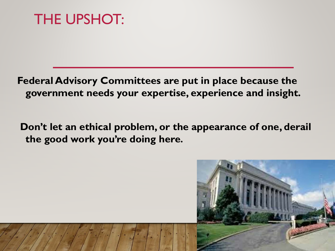THE UPSHOT:

**Federal Advisory Committees are put in place because the government needs your expertise, experience and insight.** 

**Don't let an ethical problem, or the appearance of one, derail the good work you're doing here.**